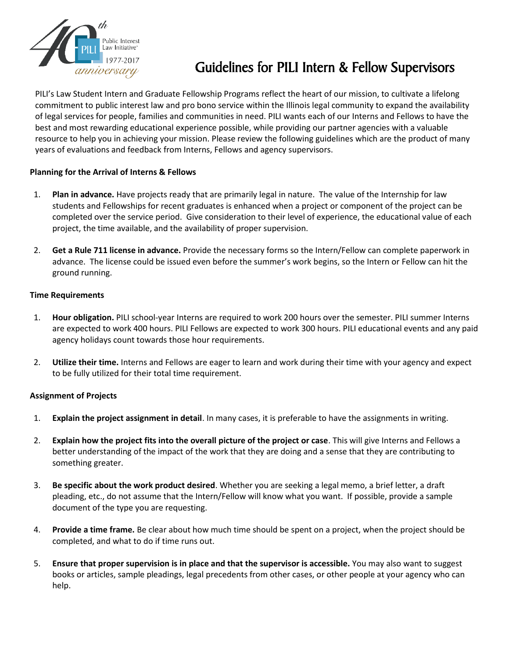

# Guidelines for PILI Intern & Fellow Supervisors

PILI's Law Student Intern and Graduate Fellowship Programs reflect the heart of our mission, to cultivate a lifelong commitment to public interest law and pro bono service within the Illinois legal community to expand the availability of legal services for people, families and communities in need. PILI wants each of our Interns and Fellows to have the best and most rewarding educational experience possible, while providing our partner agencies with a valuable resource to help you in achieving your mission. Please review the following guidelines which are the product of many years of evaluations and feedback from Interns, Fellows and agency supervisors.

# **Planning for the Arrival of Interns & Fellows**

- 1. **Plan in advance.** Have projects ready that are primarily legal in nature. The value of the Internship for law students and Fellowships for recent graduates is enhanced when a project or component of the project can be completed over the service period. Give consideration to their level of experience, the educational value of each project, the time available, and the availability of proper supervision.
- 2. **Get a Rule 711 license in advance.** Provide the necessary forms so the Intern/Fellow can complete paperwork in advance. The license could be issued even before the summer's work begins, so the Intern or Fellow can hit the ground running.

# **Time Requirements**

- 1. **Hour obligation.** PILI school-year Interns are required to work 200 hours over the semester. PILI summer Interns are expected to work 400 hours. PILI Fellows are expected to work 300 hours. PILI educational events and any paid agency holidays count towards those hour requirements.
- 2. **Utilize their time.** Interns and Fellows are eager to learn and work during their time with your agency and expect to be fully utilized for their total time requirement.

# **Assignment of Projects**

- 1. **Explain the project assignment in detail**. In many cases, it is preferable to have the assignments in writing.
- 2. **Explain how the project fits into the overall picture of the project or case**. This will give Interns and Fellows a better understanding of the impact of the work that they are doing and a sense that they are contributing to something greater.
- 3. **Be specific about the work product desired**. Whether you are seeking a legal memo, a brief letter, a draft pleading, etc., do not assume that the Intern/Fellow will know what you want. If possible, provide a sample document of the type you are requesting.
- 4. **Provide a time frame.** Be clear about how much time should be spent on a project, when the project should be completed, and what to do if time runs out.
- 5. **Ensure that proper supervision is in place and that the supervisor is accessible.** You may also want to suggest books or articles, sample pleadings, legal precedents from other cases, or other people at your agency who can help.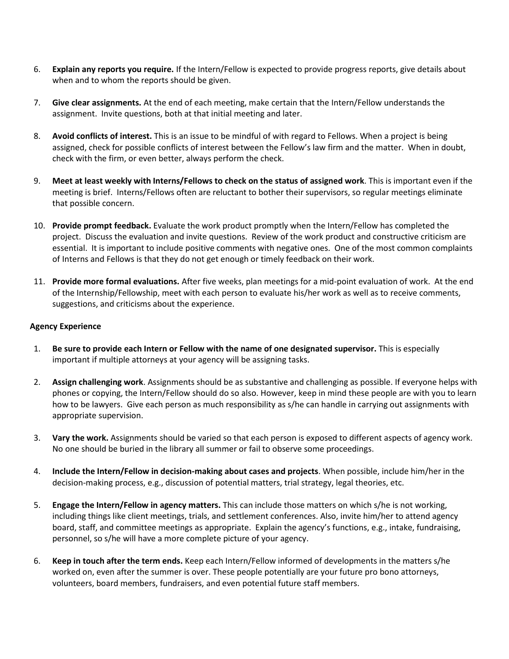- 6. **Explain any reports you require.** If the Intern/Fellow is expected to provide progress reports, give details about when and to whom the reports should be given.
- 7. **Give clear assignments.** At the end of each meeting, make certain that the Intern/Fellow understands the assignment. Invite questions, both at that initial meeting and later.
- 8. **Avoid conflicts of interest.** This is an issue to be mindful of with regard to Fellows. When a project is being assigned, check for possible conflicts of interest between the Fellow's law firm and the matter. When in doubt, check with the firm, or even better, always perform the check.
- 9. **Meet at least weekly with Interns/Fellows to check on the status of assigned work**. This is important even if the meeting is brief. Interns/Fellows often are reluctant to bother their supervisors, so regular meetings eliminate that possible concern.
- 10. **Provide prompt feedback.** Evaluate the work product promptly when the Intern/Fellow has completed the project. Discuss the evaluation and invite questions. Review of the work product and constructive criticism are essential. It is important to include positive comments with negative ones. One of the most common complaints of Interns and Fellows is that they do not get enough or timely feedback on their work.
- 11. **Provide more formal evaluations.** After five weeks, plan meetings for a mid-point evaluation of work. At the end of the Internship/Fellowship, meet with each person to evaluate his/her work as well as to receive comments, suggestions, and criticisms about the experience.

#### **Agency Experience**

- 1. **Be sure to provide each Intern or Fellow with the name of one designated supervisor.** This is especially important if multiple attorneys at your agency will be assigning tasks.
- 2. **Assign challenging work**. Assignments should be as substantive and challenging as possible. If everyone helps with phones or copying, the Intern/Fellow should do so also. However, keep in mind these people are with you to learn how to be lawyers. Give each person as much responsibility as s/he can handle in carrying out assignments with appropriate supervision.
- 3. **Vary the work.** Assignments should be varied so that each person is exposed to different aspects of agency work. No one should be buried in the library all summer or fail to observe some proceedings.
- 4. **Include the Intern/Fellow in decision-making about cases and projects**. When possible, include him/her in the decision-making process, e.g., discussion of potential matters, trial strategy, legal theories, etc.
- 5. **Engage the Intern/Fellow in agency matters.** This can include those matters on which s/he is not working, including things like client meetings, trials, and settlement conferences. Also, invite him/her to attend agency board, staff, and committee meetings as appropriate. Explain the agency's functions, e.g., intake, fundraising, personnel, so s/he will have a more complete picture of your agency.
- 6. **Keep in touch after the term ends.** Keep each Intern/Fellow informed of developments in the matters s/he worked on, even after the summer is over. These people potentially are your future pro bono attorneys, volunteers, board members, fundraisers, and even potential future staff members.